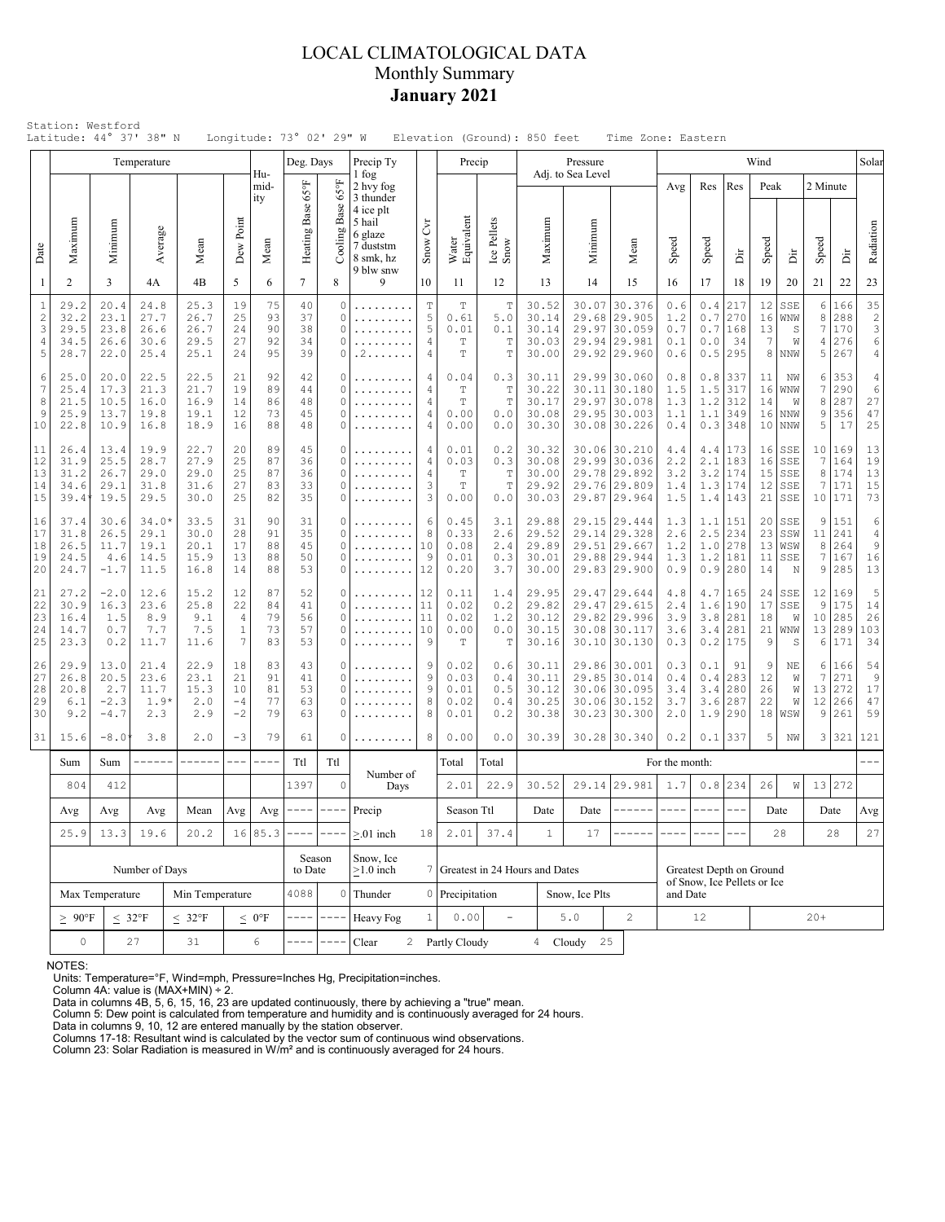## LOCAL CLIMATOLOGICAL DATA Monthly Summary **January 2021**

| Station: Westford<br>Latitude: 44° 37' 38" N<br>Longitude: 73° 02' 29" W<br>Elevation (Ground): 850 feet<br>Time Zone: Eastern<br>Wind<br>Temperature<br>Deg. Days<br>Precip Ty<br>Precip<br>Pressure |                                                                       |                                           |                                         |                                      |                                             |                            |                            |                                         |                                                              |                                 |                                                 |                                                         |                                           |                         |                                                                                                                                                                                                                                                                                                                                                                                                                                                                                        |                                                                                                                                                                                                                                                                                                                                                                                              |                                 |                                                         |                            |                                              |                                               |                                    |                                                                               |
|-------------------------------------------------------------------------------------------------------------------------------------------------------------------------------------------------------|-----------------------------------------------------------------------|-------------------------------------------|-----------------------------------------|--------------------------------------|---------------------------------------------|----------------------------|----------------------------|-----------------------------------------|--------------------------------------------------------------|---------------------------------|-------------------------------------------------|---------------------------------------------------------|-------------------------------------------|-------------------------|----------------------------------------------------------------------------------------------------------------------------------------------------------------------------------------------------------------------------------------------------------------------------------------------------------------------------------------------------------------------------------------------------------------------------------------------------------------------------------------|----------------------------------------------------------------------------------------------------------------------------------------------------------------------------------------------------------------------------------------------------------------------------------------------------------------------------------------------------------------------------------------------|---------------------------------|---------------------------------------------------------|----------------------------|----------------------------------------------|-----------------------------------------------|------------------------------------|-------------------------------------------------------------------------------|
|                                                                                                                                                                                                       |                                                                       |                                           |                                         |                                      |                                             | Hu-                        |                            |                                         |                                                              |                                 |                                                 |                                                         |                                           | Adj. to Sea Level       |                                                                                                                                                                                                                                                                                                                                                                                                                                                                                        |                                                                                                                                                                                                                                                                                                                                                                                              |                                 |                                                         |                            |                                              |                                               |                                    | Solar                                                                         |
|                                                                                                                                                                                                       |                                                                       |                                           |                                         |                                      |                                             | mid-<br>ity                | Heating Base 65°F          | 159                                     | 1 fog<br>2 hvy fog<br>3 thunder<br>4 ice plt<br>5 hail       |                                 |                                                 |                                                         |                                           |                         |                                                                                                                                                                                                                                                                                                                                                                                                                                                                                        | Avg                                                                                                                                                                                                                                                                                                                                                                                          | Res                             | Res                                                     | Peak                       |                                              | 2 Minute                                      |                                    |                                                                               |
| Date                                                                                                                                                                                                  | Maximum                                                               | Minimum                                   | Average                                 | Mean                                 | Dew Point                                   | Mean                       |                            | Cooling Base                            | 6 glaze<br>7 duststm<br>8 smk, hz<br>9 blw snw               | CvT<br>Snow                     | Water<br>Equivalent                             | Ice Pellets<br>Snow                                     | Maximum                                   | Minimum                 | Mean                                                                                                                                                                                                                                                                                                                                                                                                                                                                                   | Speed                                                                                                                                                                                                                                                                                                                                                                                        | Speed                           | Ä                                                       | Speed                      | Ä                                            | Speed                                         | ă                                  | Radiation                                                                     |
| -1                                                                                                                                                                                                    | 2                                                                     | 3                                         | 4A                                      | 4B                                   | 5                                           | 6                          | $7\overline{ }$            | 8                                       | 9                                                            | 10                              | 11                                              | 12                                                      | 13                                        | 14                      | 15                                                                                                                                                                                                                                                                                                                                                                                                                                                                                     | 16                                                                                                                                                                                                                                                                                                                                                                                           | 17                              | 18                                                      | 19                         | 20                                           | 21                                            | 22                                 | 23                                                                            |
| $\mathbf{1}$                                                                                                                                                                                          | 29.2<br>$\overline{c}$<br>32.2<br>3<br>29.5<br>4<br>34.5<br>5<br>28.7 | 20.4<br>23.1<br>23.8<br>26.6<br>22.0      | 24.8<br>27.7<br>26.6<br>30.6<br>25.4    | 25.3<br>26.7<br>26.7<br>29.5<br>25.1 | 19<br>25<br>24<br>27<br>24                  | 75<br>93<br>90<br>92<br>95 | 40<br>37<br>38<br>34<br>39 | $\mathbb O$<br>0<br>0<br>0<br>0         | .<br>.<br>. 2                                                | $\mathbb T$<br>5<br>5<br>4<br>4 | $\mathbf T$<br>0.61<br>0.01<br>$\mathbb T$<br>T | $\mathbb T$<br>5.0<br>0.1<br>$\mathbb T$<br>$\mathbf T$ | 30.52<br>30.14<br>30.14<br>30.03<br>30.00 | 30.07<br>29.68<br>29.97 | 30.376<br>29.905<br>30.059<br>29.94 29.981<br>29.92 29.960                                                                                                                                                                                                                                                                                                                                                                                                                             | 0.6<br>1.2<br>0.7<br>0.1<br>0.6                                                                                                                                                                                                                                                                                                                                                              | $0.4$<br>0.7<br>0.0<br>0.5      | 217<br>270<br>0.7 168<br>34<br>295                      | 12<br>16<br>13<br>7<br>8   | SSE<br>WNW<br>$\mathbb S$<br>W<br><b>NNW</b> | $\epsilon$<br>8<br>$\boldsymbol{7}$<br>4<br>5 | 166<br>288<br>170<br>276<br>267    | 35<br>$\sqrt{2}$<br>$\ensuremath{\mathsf{3}}$<br>$\epsilon$<br>$\overline{4}$ |
| 7<br>10                                                                                                                                                                                               | 6<br>25.0<br>25.4<br>8<br>21.5<br>9<br>25.9<br>22.8                   | 20.0<br>17.3<br>10.5<br>13.7<br>10.9      | 22.5<br>21.3<br>16.0<br>19.8<br>16.8    | 22.5<br>21.7<br>16.9<br>19.1<br>18.9 | 21<br>19<br>14<br>12<br>16                  | 92<br>89<br>86<br>73<br>88 | 42<br>44<br>48<br>45<br>48 | 0<br>0<br>0<br>0                        | .<br>.<br>.                                                  | 4<br>4<br>4<br>4<br>4           |                                                 | 0.3<br>$\mathbb T$<br>$\mathbb T$<br>0.0<br>0.0         | 30.11<br>30.22<br>30.17<br>30.08<br>30.30 | 30.11                   | 29.99 30.060<br>30.180<br>29.97 30.078<br>29.95 30.003<br>30.08 30.226                                                                                                                                                                                                                                                                                                                                                                                                                 | 0.8<br>1.5<br>1.3<br>1.1<br>0.4                                                                                                                                                                                                                                                                                                                                                              | 0.8<br>1.5<br>1.2<br>0.3        | 337<br>317<br>312<br>$1.1$   349<br>348                 | 11<br>16<br>14<br>16<br>10 | NW<br>WNW<br>W<br><b>NNW</b><br><b>NNW</b>   | 6<br>7<br>8<br>9<br>5                         | 353<br>290<br>287<br>356<br>17     | $\overline{4}$<br>$\epsilon$<br>27<br>47<br>25                                |
| 11<br>12<br>13<br>14<br>15                                                                                                                                                                            | 26.4<br>31.9<br>31.2<br>34.6<br>39.4                                  | 13.4<br>25.5<br>26.7<br>29.1<br>19.5      | 19.9<br>28.7<br>29.0<br>31.8<br>29.5    | 22.7<br>27.9<br>29.0<br>31.6<br>30.0 | 20<br>25<br>25<br>27<br>25                  | 89<br>87<br>87<br>83<br>82 | 45<br>36<br>36<br>33<br>35 | 0<br>0<br>0<br>0<br>0                   | .<br>.<br>.                                                  | 4<br>4<br>4<br>3<br>3           |                                                 | 0.2<br>0.3<br>T<br>T<br>0.0                             | 30.32<br>30.08<br>30.00<br>29.92<br>30.03 |                         | 30.06 30.210<br>29.99 30.036<br>29.78 29.892<br>29.76 29.809<br>29.87 29.964                                                                                                                                                                                                                                                                                                                                                                                                           | 4.4<br>2.2<br>3.2<br>1.4<br>1.5                                                                                                                                                                                                                                                                                                                                                              | 2.1<br>1.3                      | $4.4$   173<br>183<br>$3.2$   174<br>174<br>$1.4$   143 | 16<br>16<br>15<br>12<br>21 | SSE<br>SSE<br>SSE<br>SSE<br>SSE              | $\boldsymbol{7}$<br>8<br>7<br>10              | 10 169<br>164<br>174<br>171<br>171 | 13<br>19<br>13<br>15<br>73                                                    |
| 16<br>17<br>18<br>19<br>20                                                                                                                                                                            | 37.4<br>31.8<br>26.5<br>24.5<br>24.7                                  | 30.6<br>26.5<br>11.7<br>4.6<br>$-1.7$     | $34.0*$<br>29.1<br>19.1<br>14.5<br>11.5 | 33.5<br>30.0<br>20.1<br>15.9<br>16.8 | 31<br>28<br>17<br>13<br>14                  | 90<br>91<br>88<br>88<br>88 | 31<br>35<br>45<br>50<br>53 | 0<br>0<br>0<br>0<br>0                   | .<br>.<br>.                                                  | 6<br>8<br>10<br>9<br>12         | 0.45<br>0.33<br>0.08<br>0.01<br>0.20            | 3.1<br>2.6<br>2.4<br>0.3<br>3.7                         | 29.88<br>29.52<br>29.89<br>30.01<br>30.00 | 29.14                   | 29.15 29.444<br>29.328<br>29.51 29.667<br>29.88 29.944<br>29.83 29.900                                                                                                                                                                                                                                                                                                                                                                                                                 | 1.3<br>2.6<br>1.2<br>1.3<br>0.9                                                                                                                                                                                                                                                                                                                                                              | 1.1<br>1.0<br>0.9               | 151<br>$2.5$ 234<br>278<br>$1.2$  181<br>280            | 20<br>23<br>13<br>11<br>14 | SSE<br>SSW<br>WSW<br>SSE<br>N                | 9<br>11<br>8<br>$\boldsymbol{7}$<br>9         | 151<br>241<br>264<br>167<br>285    | $\epsilon$<br>$\overline{4}$<br>$\,9$<br>16<br>13                             |
| 21<br>22<br>23<br>24<br>25                                                                                                                                                                            | 27.2<br>30.9<br>16.4<br>14.7<br>23.3                                  | $-2.0$<br>16.3<br>1.5<br>0.7<br>0.2       | 12.6<br>23.6<br>8.9<br>7.7<br>11.7      | 15.2<br>25.8<br>9.1<br>7.5<br>11.6   | 12<br>22<br>$\sqrt{4}$<br>$\mathbf{1}$<br>7 | 87<br>84<br>79<br>73<br>83 | 52<br>41<br>56<br>57<br>53 | 0<br>$\Omega$<br>0<br>$\Omega$          | $\mathbb{R}^n$ . In the set of $\mathbb{R}^n$<br>.<br>.<br>. | 12<br>11<br>11<br>10<br>9       | 0.11<br>0.02<br>0.02<br>0.00<br>T               | 1.4<br>0.2<br>1.2<br>0.0<br>T                           | 29.95<br>29.82<br>30.12<br>30.15<br>30.16 |                         | 29.47 29.644<br>29.47 29.615<br>29.82 29.996<br>30.08 30.117<br>30.10 30.130                                                                                                                                                                                                                                                                                                                                                                                                           | 4.8<br>2.4<br>3.9<br>3.6<br>0.3                                                                                                                                                                                                                                                                                                                                                              | 1.6<br>3.8<br>3.4               | 4.7 165<br>190<br>281<br>281<br>$0.2$   175             | 24<br>17<br>18<br>21<br>9  | SSE<br>SSE<br>W<br>WNW<br>S                  | 12<br>9<br>10<br>13<br>6                      | 169<br>175<br>285<br>289<br>171    | $\mathbb S$<br>14<br>26<br>103<br>34                                          |
| 26<br>27<br>28<br>29<br>30                                                                                                                                                                            | 29.9<br>26.8<br>20.8<br>6.1<br>9.2                                    | 13.0<br>20.5<br>2.7<br>$-2.3$<br>$-4.7\,$ | 21.4<br>23.6<br>11.7<br>$1.9*$<br>2.3   | 22.9<br>23.1<br>15.3<br>2.0<br>2.9   | 18<br>21<br>10<br>$-4$<br>$-2$              | 83<br>91<br>81<br>77<br>79 | 43<br>41<br>53<br>63<br>63 | 0<br>O<br>$\Omega$<br>0<br>O            | .                                                            | 9<br>9<br>8<br>8                | 0.02<br>0.03<br>0.01<br>0.02<br>0.01            | 0.6<br>0.4<br>0.5<br>0.4<br>0.2                         | 30.11<br>30.11<br>30.12<br>30.25<br>30.38 | 30.06<br>30.23          | 29.86 30.001<br>29.85 30.014<br>30.06 30.095<br>30.152<br>30.300                                                                                                                                                                                                                                                                                                                                                                                                                       | 0.3<br>0.4<br>3.4<br>3.7<br>2.0                                                                                                                                                                                                                                                                                                                                                              | 0.1<br>0.4<br>3.4<br>3.6<br>1.9 | 91<br>283<br>280<br>287<br>290                          | 9<br>12<br>26<br>22<br>18  | NE<br>W<br>W<br>W<br>WSW                     | 6<br>$\boldsymbol{7}$<br>13<br>12<br>9        | 166<br>271<br>272<br>266<br>261    | 54<br>9<br>17<br>47<br>59                                                     |
| 31                                                                                                                                                                                                    | 15.6                                                                  | $-8.0$                                    | 3.8                                     | 2.0                                  | $-3$                                        | 79                         | 61                         | 0                                       |                                                              | 8                               | 0.00                                            | 0.0                                                     | 30.39                                     |                         | 30.28 30.340                                                                                                                                                                                                                                                                                                                                                                                                                                                                           | 0.2                                                                                                                                                                                                                                                                                                                                                                                          | 0.1                             | 337                                                     | 5                          | NW                                           |                                               | 3 321                              | 121                                                                           |
|                                                                                                                                                                                                       | Sum                                                                   | Sum                                       | ------                                  | ------                               | $\qquad \qquad - -$                         | $- - - -$                  | Ttl                        | Ttl                                     | Number of                                                    |                                 | Total                                           | Total                                                   |                                           |                         |                                                                                                                                                                                                                                                                                                                                                                                                                                                                                        | For the month:                                                                                                                                                                                                                                                                                                                                                                               |                                 |                                                         |                            |                                              |                                               |                                    |                                                                               |
|                                                                                                                                                                                                       | 804                                                                   | 412                                       |                                         |                                      |                                             | 1397                       | $\circ$                    | Days                                    |                                                              | 2.01                            | 22.9                                            | 30.52                                                   |                                           | 29.14 29.981            | 1.7                                                                                                                                                                                                                                                                                                                                                                                                                                                                                    | 0.8                                                                                                                                                                                                                                                                                                                                                                                          | 234                             | 26                                                      | W                          |                                              | 13 272                                        |                                    |                                                                               |
|                                                                                                                                                                                                       | Avg                                                                   | $\operatorname{Avg}$                      | Avg<br>19.6                             | Mean                                 | Avg                                         | Avg                        | $---$                      | $---$                                   | Precip                                                       |                                 | Season Ttl                                      |                                                         | Date                                      | Date                    | $\begin{array}{cccccccccc} \multicolumn{2}{c}{} & \multicolumn{2}{c}{} & \multicolumn{2}{c}{} & \multicolumn{2}{c}{} & \multicolumn{2}{c}{} & \multicolumn{2}{c}{} & \multicolumn{2}{c}{} & \multicolumn{2}{c}{} & \multicolumn{2}{c}{} & \multicolumn{2}{c}{} & \multicolumn{2}{c}{} & \multicolumn{2}{c}{} & \multicolumn{2}{c}{} & \multicolumn{2}{c}{} & \multicolumn{2}{c}{} & \multicolumn{2}{c}{} & \multicolumn{2}{c}{} & \multicolumn{2}{c}{} & \multicolumn{2}{c}{} & \mult$ | $\frac{1}{2} \frac{1}{2} \frac{1}{2} \frac{1}{2} \frac{1}{2} \frac{1}{2} \frac{1}{2} \frac{1}{2} \frac{1}{2} \frac{1}{2} \frac{1}{2} \frac{1}{2} \frac{1}{2} \frac{1}{2} \frac{1}{2} \frac{1}{2} \frac{1}{2} \frac{1}{2} \frac{1}{2} \frac{1}{2} \frac{1}{2} \frac{1}{2} \frac{1}{2} \frac{1}{2} \frac{1}{2} \frac{1}{2} \frac{1}{2} \frac{1}{2} \frac{1}{2} \frac{1}{2} \frac{1}{2} \frac{$ | $\qquad \qquad - - -$           | $\frac{1}{2}$                                           |                            | Date                                         |                                               | Date                               | $\mathbf{Avg}$                                                                |
|                                                                                                                                                                                                       | 25.9                                                                  | 13.3                                      | 20.2<br>Number of Days                  |                                      | 16 85.3                                     | Season<br>to Date          | $-$                        | $> 01$ inch<br>Snow, Ice<br>$>1.0$ inch | 18                                                           | 2.01                            | 37.4                                            | $\mathbf{1}$<br>7 Greatest in 24 Hours and Dates        | 17                                        |                         |                                                                                                                                                                                                                                                                                                                                                                                                                                                                                        | Greatest Depth on Ground                                                                                                                                                                                                                                                                                                                                                                     |                                 | 28                                                      |                            | 28                                           | 27                                            |                                    |                                                                               |
|                                                                                                                                                                                                       | Max Temperature                                                       | Min Temperature                           |                                         |                                      | 4088                                        | $\circ$                    | Thunder                    |                                         | 0 Precipitation                                              |                                 | Snow, Ice Plts                                  |                                                         |                                           | and Date                | of Snow, Ice Pellets or Ice                                                                                                                                                                                                                                                                                                                                                                                                                                                            |                                                                                                                                                                                                                                                                                                                                                                                              |                                 |                                                         |                            |                                              |                                               |                                    |                                                                               |
|                                                                                                                                                                                                       | $\leq 32^{\circ}F$<br>$\geq 90^{\circ}$ F<br>$\leq 32^{\circ}F$       |                                           |                                         |                                      |                                             | $\leq 0$ °F                |                            |                                         | Heavy Fog                                                    | $\mathbf{1}$                    | 0.00                                            | $\equiv$                                                |                                           | 5.0                     | $\overline{c}$                                                                                                                                                                                                                                                                                                                                                                                                                                                                         |                                                                                                                                                                                                                                                                                                                                                                                              | 12                              |                                                         |                            |                                              | $20+$                                         |                                    |                                                                               |
|                                                                                                                                                                                                       | $\mathsf{O}\xspace$                                                   |                                           | 27                                      | 31                                   |                                             | $\epsilon$                 |                            |                                         | Clear                                                        |                                 | 2 Partly Cloudy                                 |                                                         | 4 Cloudy                                  | 25                      |                                                                                                                                                                                                                                                                                                                                                                                                                                                                                        |                                                                                                                                                                                                                                                                                                                                                                                              |                                 |                                                         |                            |                                              |                                               |                                    |                                                                               |

NOTES:

Units: Temperature=°F, Wind=mph, Pressure=Inches Hg, Precipitation=inches. Column 4A: value is (MAX+MIN) ÷ 2. Data in columns 4B, 5, 6, 15, 16, 23 are updated continuously, there by achieving a "true" mean.

Column 5: Dew point is calculated from temperature and humidity and is continuously averaged for 24 hours. Data in columns 9, 10, 12 are entered manually by the station observer.

Columns 17-18: Resultant wind is calculated by the vector sum of continuous wind observations. Column 23: Solar Radiation is measured in W/m² and is continuously averaged for 24 hours.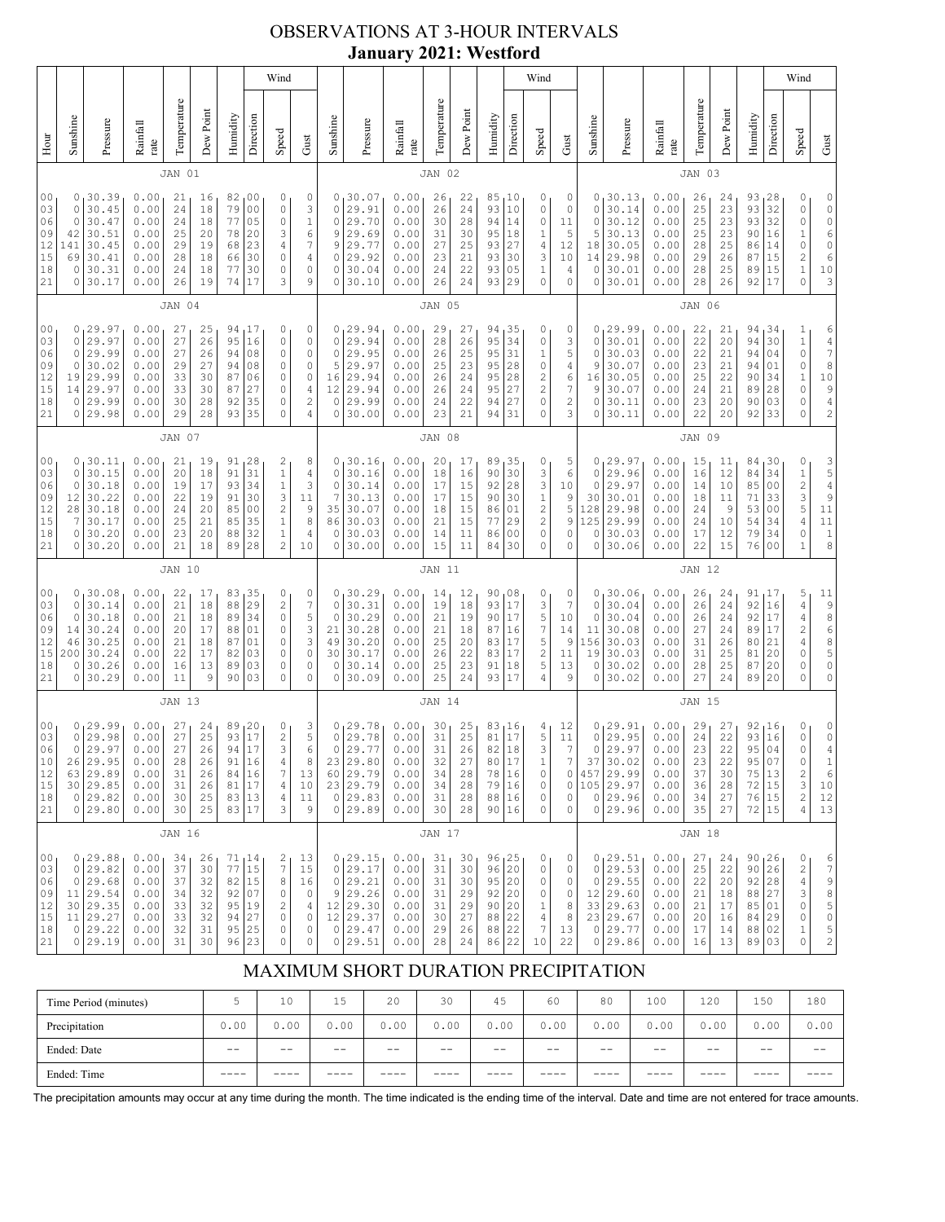## OBSERVATIONS AT 3-HOUR INTERVALS **January 2021: Westford**

|                                                          |                                                                                                                                                                                                                                                                                                                                                                                                                                                                  |                                                                                     |                                                              |                                              |                                              |                                              |                                                                                   | Wind                                                                                    |                                                                                               |                                                                      |                                                                         |                                                              |                                              |                                                           |                                              |                                                                                 | Wind                                                                             |                                                                      |                                                              |                                                                                        |                                                              |                                                   |                                              |                                                                                    |                                                                            | Wind                                                                                                                                                                    |                                                                    |
|----------------------------------------------------------|------------------------------------------------------------------------------------------------------------------------------------------------------------------------------------------------------------------------------------------------------------------------------------------------------------------------------------------------------------------------------------------------------------------------------------------------------------------|-------------------------------------------------------------------------------------|--------------------------------------------------------------|----------------------------------------------|----------------------------------------------|----------------------------------------------|-----------------------------------------------------------------------------------|-----------------------------------------------------------------------------------------|-----------------------------------------------------------------------------------------------|----------------------------------------------------------------------|-------------------------------------------------------------------------|--------------------------------------------------------------|----------------------------------------------|-----------------------------------------------------------|----------------------------------------------|---------------------------------------------------------------------------------|----------------------------------------------------------------------------------|----------------------------------------------------------------------|--------------------------------------------------------------|----------------------------------------------------------------------------------------|--------------------------------------------------------------|---------------------------------------------------|----------------------------------------------|------------------------------------------------------------------------------------|----------------------------------------------------------------------------|-------------------------------------------------------------------------------------------------------------------------------------------------------------------------|--------------------------------------------------------------------|
| Hour                                                     | Sunshine                                                                                                                                                                                                                                                                                                                                                                                                                                                         | Pressure                                                                            | Rainfall<br>rate                                             | Temperature                                  | Dew Point                                    | Humidity                                     | Direction                                                                         | Speed                                                                                   | Gust                                                                                          | Sunshine                                                             | Pressure                                                                | Rainfall<br>rate                                             | Temperature                                  | Dew Point                                                 | Humidity                                     | Direction                                                                       | Speed                                                                            | Gust                                                                 | Sunshine                                                     | Pressure                                                                               | Rainfall<br>rate                                             | Temperature                                       | Dew Point                                    | Humidity                                                                           | Direction                                                                  | Speed                                                                                                                                                                   | Gust                                                               |
|                                                          |                                                                                                                                                                                                                                                                                                                                                                                                                                                                  |                                                                                     |                                                              | JAN 01                                       |                                              |                                              |                                                                                   |                                                                                         |                                                                                               |                                                                      |                                                                         |                                                              | JAN 02                                       |                                                           |                                              |                                                                                 |                                                                                  |                                                                      |                                                              |                                                                                        |                                                              | JAN 03                                            |                                              |                                                                                    |                                                                            |                                                                                                                                                                         |                                                                    |
| 0 <sub>0</sub><br>03<br>06<br>09<br>12<br>15<br>18<br>21 | 30.39<br>0.00<br>21<br>82<br>0 <sub>0</sub><br>0<br>0<br>16<br>0<br>0.00<br>79<br>0 <sub>0</sub><br>30.45<br>24<br>18<br>0<br>0<br>30.47<br>77<br>05<br>$\circ$<br>0.00<br>24<br>18<br>30.51<br>0.00<br>20<br>3<br>42<br>25<br>20<br>78<br>30.45<br>141<br>0.00<br>29<br>19<br>23<br>4<br>68<br>69<br>30.41<br>$\mathbb O$<br>0.00<br>28<br>18<br>66<br>30<br>30.31<br>0<br>0.00<br>24<br>18<br>77<br>30<br>0<br>30.17<br>26<br>19<br>74<br>17<br>3<br>0<br>0.00 |                                                                                     |                                                              |                                              |                                              |                                              | 0<br>3<br>$1\,$<br>$\sqrt{6}$<br>$\sqrt{ }$<br>4<br>0<br>9                        | 0<br>0<br>$\circ$<br>9<br>9<br>0<br>0<br>0                                              | 30.07<br>29.91<br>29.70<br>29.69<br>29.77<br>29.92<br>30.04<br>30.10                          | 0.00<br>0.00<br>0.00<br>0.00<br>0.00<br>0.00<br>0.00<br>0.00         | 26<br>26<br>30<br>31<br>27<br>23<br>24<br>26                            | 22<br>24<br>28<br>30<br>25<br>21<br>22<br>24                 | 85<br>93<br>94<br>95<br>93<br>93<br>93<br>93 | <sub>1</sub> 10<br>10<br>14<br>18<br>27<br>30<br>05<br>29 | 0<br>0<br>0<br>1<br>4<br>3<br>1<br>0         | 0<br>0<br>11<br>5<br>12<br>10<br>4<br>0                                         | 0<br>0<br>0<br>5<br>18<br>14<br>0<br>0                                           | 30.13<br>30.14<br>30.12<br>30.13<br>30.05<br>29.98<br>30.01<br>30.01 | 0.00<br>0.00<br>0.00<br>0.00<br>0.00<br>0.00<br>0.00<br>0.00 | 26<br>25<br>25<br>25<br>28<br>29<br>28<br>28                                           | 24<br>23<br>23<br>23<br>25<br>26<br>25<br>26                 | 93, 28<br>93<br>93 <br>90<br>86<br>87<br>89<br>92 | 32<br>32<br>16<br>14<br>15<br>15<br>17       | 0<br>0<br>0<br>$\mathbf 1$<br>$\circ$<br>$\overline{c}$<br>$\mathbf 1$<br>$\Omega$ | 0<br>0<br>0<br>6<br>$\begin{array}{c} 0 \\ 6 \end{array}$<br>$10$<br>3     |                                                                                                                                                                         |                                                                    |
|                                                          |                                                                                                                                                                                                                                                                                                                                                                                                                                                                  |                                                                                     |                                                              | JAN 04                                       |                                              |                                              |                                                                                   |                                                                                         |                                                                                               |                                                                      |                                                                         |                                                              | JAN 05                                       |                                                           |                                              |                                                                                 |                                                                                  |                                                                      |                                                              |                                                                                        |                                                              | JAN 06                                            |                                              |                                                                                    |                                                                            |                                                                                                                                                                         |                                                                    |
| 00<br>03<br>06<br>09<br>12<br>15<br>18<br>21             | 0<br>0<br>0<br>19<br>14<br>0<br>0                                                                                                                                                                                                                                                                                                                                                                                                                                | 0, 29.97<br>29.97<br>29.99<br>30.02<br>29.99<br>29.97<br>29.99<br>29.98             | 0.00<br>0.00<br>0.00<br>0.00<br>0.00<br>0.00<br>0.00<br>0.00 | 27<br>27<br>27<br>29<br>33<br>33<br>30<br>29 | 25<br>26<br>26<br>27<br>30<br>30<br>28<br>28 | 94<br>95<br>94<br>94<br>87<br>87<br>92<br>93 | 17 ا<br>16<br>08<br>08<br>06<br>27<br>35<br>35                                    | 0<br>$\circ$<br>$\mathbb O$<br>0<br>0<br>0<br>0<br>0                                    | 0<br>$\circ$<br>$\circ$<br>0<br>$\circ$<br>$\overline{4}$<br>$\overline{c}$<br>$\overline{4}$ | 0<br>$\circ$<br>$\circ$<br>5<br>16<br>12<br>0<br>0                   | 29.94<br>29.94<br>29.95<br>29.97<br>29.94<br>29.94<br>29.99<br>30.00    | 0.00<br>0.00<br>0.00<br>0.00<br>0.00<br>0.00<br>0.00<br>0.00 | 29<br>28<br>26<br>25<br>26<br>26<br>24<br>23 | 27<br>26<br>25<br>23<br>24<br>24<br>22<br>21              | 94<br>95<br>95<br>95<br>95<br>95<br>94<br>94 | 35<br>34<br>31<br>28<br>28<br>27<br>27<br>31                                    | 0<br>0<br>1<br>0<br>$\overline{\mathbf{c}}$<br>$\overline{c}$<br>0<br>0          | 0<br>3<br>5<br>4<br>6<br>7<br>$\mathbf{2}$<br>3                      | $\circ$<br>0<br>9<br>16<br>9<br>0<br>0                       | 0, 29.99<br>30.01<br>30.03<br>30.07<br>30.05<br>30.07<br>30.11<br>30.11                | 0.00<br>0.00<br>0.00<br>0.00<br>0.00<br>0.00<br>0.00<br>0.00 | 22<br>22<br>22<br>23<br>25<br>24<br>23<br>22      | 21<br>20<br>21<br>21<br>22<br>21<br>20<br>20 | 94,34<br>94<br>94<br>94  <br>90<br>89<br>90<br>92                                  | 30<br>04<br>01<br>34<br>28<br>03<br>33                                     | 1<br>$\mathbf 1$<br>$\mathsf O$<br>$\mathbb O$<br>$\,1\,$<br>0<br>0<br>0                                                                                                | 6<br>$\frac{4}{7}$<br>8<br>$10$<br>$\frac{9}{4}$<br>$\overline{c}$ |
|                                                          | JAN 07                                                                                                                                                                                                                                                                                                                                                                                                                                                           |                                                                                     |                                                              |                                              |                                              |                                              |                                                                                   |                                                                                         |                                                                                               |                                                                      | JAN 08                                                                  |                                                              |                                              |                                                           |                                              |                                                                                 |                                                                                  |                                                                      |                                                              | JAN 09                                                                                 |                                                              |                                                   |                                              |                                                                                    |                                                                            |                                                                                                                                                                         |                                                                    |
| 0 <sub>0</sub><br>03<br>06<br>09<br>12<br>15<br>18<br>21 | 0<br>0<br>12<br>28<br>7<br>0<br>0                                                                                                                                                                                                                                                                                                                                                                                                                                | 0, 30.11<br>30.15<br>30.18<br>30.22<br>30.18<br>30.17<br>30.20<br>30.20             | 0.00<br>0.00<br>0.00<br>0.00<br>0.00<br>0.00<br>0.00<br>0.00 | 21<br>20<br>19<br>22<br>24<br>25<br>23<br>21 | 19<br>18<br>17<br>19<br>20<br>21<br>20<br>18 | 91<br>91<br>93<br>91<br>85<br>85<br>88<br>89 | 128<br>31<br>34<br>30<br>0 <sub>0</sub><br>35<br>32<br>28                         | 2<br>$\,1\,$<br>$\,1$<br>3<br>$\overline{c}$<br>$1\,$<br>$\mathbf{1}$<br>$\overline{c}$ | 8<br>$\overline{4}$<br>3<br>11<br>9<br>8<br>$\overline{4}$<br>10                              | 0<br>$\circ$<br>0<br>7<br>35<br>86<br>0<br>0                         | 130.16<br>30.16<br>30.14<br>30.13<br>30.07<br>30.03<br>30.03<br>30.00   | 0.00<br>0.00<br>0.00<br>0.00<br>0.00<br>0.00<br>0.00<br>0.00 | 20<br>18<br>17<br>17<br>18<br>21<br>14<br>15 | 17<br>16<br>15<br>15<br>15<br>15<br>11<br>11              | 89<br>90<br>92<br>90<br>86<br>77<br>86<br>84 | 35 ا<br>30<br>28<br>30<br>01<br>29<br>0 <sub>0</sub><br>30                      | 0<br>3<br>3<br>$\mathbf{1}$<br>$\overline{c}$<br>$\mathbf{2}$<br>0<br>0          | 5<br>6<br>10<br>9<br>5<br>9<br>0<br>0                                | $\circ$<br>0<br>30<br>128<br>125<br>0<br>0                   | 0, 29.97<br>29.96<br>29.97<br>30.01<br>29.98<br>29.99<br>30.03<br>30.06                | 0.00<br>0.00<br>0.00<br>0.00<br>0.00<br>0.00<br>0.00<br>0.00 | 15<br>16<br>14<br>18<br>24<br>24<br>17<br>22      | 11<br>12<br>10<br>11<br>9<br>10<br>12<br>15  | 84,30<br>84<br>85 <br>71<br>53<br>54<br>79<br>76                                   | 34<br>0 <sub>0</sub><br>33<br>0 <sub>0</sub><br>34<br>34<br>0 <sub>0</sub> | 0<br>$\mathbf 1$<br>$\overline{\mathbf{c}}$<br>3<br>5<br>$\sqrt{4}$<br>0<br>$\mathbf{1}$                                                                                | 3<br>5<br>4<br>$\overline{9}$<br>11<br>$11\,$<br>$1\,$<br>8        |
|                                                          |                                                                                                                                                                                                                                                                                                                                                                                                                                                                  |                                                                                     |                                                              | <b>JAN 10</b>                                |                                              |                                              |                                                                                   |                                                                                         |                                                                                               |                                                                      |                                                                         |                                                              | JAN 11                                       |                                                           |                                              |                                                                                 |                                                                                  |                                                                      |                                                              |                                                                                        |                                                              | <b>JAN 12</b>                                     |                                              |                                                                                    |                                                                            |                                                                                                                                                                         |                                                                    |
| 0 <sub>0</sub><br>03<br>06<br>09<br>12<br>15<br>18<br>21 | 0<br>0<br>14<br>46<br>200<br>0<br>0                                                                                                                                                                                                                                                                                                                                                                                                                              | 0, 30.08<br>30.14<br>30.18<br>30.24<br>30.25<br>30.24<br>30.26<br>30.29             | 0.00<br>0.00<br>0.00<br>0.00<br>0.00<br>0.00<br>0.00<br>0.00 | 22<br>21<br>21<br>20<br>21<br>22<br>16<br>11 | 17<br>18<br>18<br>17<br>18<br>17<br>13<br>9  | 83<br>88<br>89<br>88<br>87<br>82<br>89<br>90 | 35<br>29<br>34<br>01<br>01<br>03<br>03<br>03                                      | 0<br>$\mathbf{2}$<br>$\mathbb O$<br>0<br>0<br>0<br>$\circ$<br>0                         | 0<br>$\overline{7}$<br>5<br>3<br>3<br>$\circ$<br>$\mathbf 0$<br>$\circ$                       | 0 <sub>1</sub><br>$\circ$<br>$\mathbf 0$<br>21<br>49<br>30<br>0<br>0 | 30.29<br>30.31<br>30.29<br>30.28<br>30.20<br>30.17<br>30.14<br>30.09    | 0.00<br>0.00<br>0.00<br>0.00<br>0.00<br>0.00<br>0.00<br>0.00 | 14<br>19<br>21<br>21<br>25<br>26<br>25<br>25 | 12<br>18<br>19<br>18<br>20<br>22<br>23<br>24              | 90<br>93<br>90<br>87<br>83<br>83<br>91<br>93 | 08<br>17<br>17<br>16<br>17<br>17<br>18<br>17                                    | 0<br>3<br>5<br>$\sqrt{ }$<br>5<br>$\overline{\mathbf{c}}$<br>5<br>$\overline{4}$ | 0<br>7<br>10<br>14<br>9<br>11<br>13<br>9                             | 0 <sub>1</sub><br>0<br>0<br>11<br>156<br>19<br>0<br>0        | 30.06<br>30.04<br>30.04<br>30.08<br>30.03<br>30.03<br>30.02<br>30.02                   | 0.00<br>0.00<br>0.00<br>0.00<br>0.00<br>0.00<br>0.00<br>0.00 | 26<br>26<br>26<br>27<br>31<br>31<br>28<br>27      | 24<br>24<br>24<br>24<br>26<br>25<br>25<br>24 | 91,17<br>92<br>92<br>89<br>80<br>81<br>87<br>89                                    | 16<br> 17<br>17<br>21<br>20<br>20<br>20                                    | 5<br>$\sqrt{4}$<br>$\sqrt{4}$<br>$\mathfrak{2}% _{T}=\mathfrak{2}_{T}\!\left( a,b\right) ,\ \mathfrak{2}_{T}=\mathfrak{2}_{T}\!\left( a,b\right) ,$<br>4<br>0<br>0<br>0 | 11<br>$\frac{9}{8}$<br>6<br>8<br>5<br>0<br>0                       |
|                                                          |                                                                                                                                                                                                                                                                                                                                                                                                                                                                  |                                                                                     |                                                              | <b>JAN 13</b>                                |                                              |                                              |                                                                                   |                                                                                         |                                                                                               |                                                                      |                                                                         |                                                              | JAN 14                                       |                                                           |                                              |                                                                                 |                                                                                  |                                                                      |                                                              |                                                                                        |                                                              | <b>JAN 15</b>                                     |                                              |                                                                                    |                                                                            |                                                                                                                                                                         |                                                                    |
| 00<br>03<br>06<br>10<br>12<br>15<br>18<br>21             | 0<br>$\mathsf{O}$<br>26<br>63                                                                                                                                                                                                                                                                                                                                                                                                                                    | 0,29.99<br>29.98<br>29.97<br>29.95<br>29.89<br>30 29.85<br>0 29.82<br>0 29.80       | 0.00<br>0.00<br>0.00<br>0.00<br>0.00<br>0.00<br>0.00<br>0.00 | 27<br>27<br>27<br>28<br>31<br>31<br>30<br>30 | 24<br>25<br>26<br>26<br>26<br>26<br>25<br>25 | 89<br>93<br>94<br>91<br>84<br>81             | 20<br>17<br>17<br>16<br>$\begin{array}{c} 16 \\ 17 \end{array}$<br>83 13<br>83 17 | 0<br>$\sqrt{2}$<br>3<br>4<br>$\boldsymbol{7}$<br>$\overline{4}$<br>4<br>3               | 3<br>$\mathbf 5$<br>6<br>8<br>13<br>10<br>11<br>9                                             | 0<br>$\mathbb O$<br>$\mathbb O$<br>23<br>60<br>23<br>$\circ$<br>0    | 129.78<br>29.78<br>29.77<br>29.80<br>29.79<br>29.79<br>29.83<br>29.89   | 0.00<br>0.00<br>0.00<br>0.00<br>0.00<br>0.00<br>0.00<br>0.00 | 30<br>31<br>31<br>32<br>34<br>34<br>31<br>30 | 25<br>25<br>26<br>27<br>28<br>28<br>28<br>28              | 83<br>81<br>82<br>80<br>78<br>79<br>88<br>90 | 16 ا<br>17<br>18<br>17<br>$\begin{array}{ c} 16 \\ 16 \end{array}$<br> 16<br>16 | 4<br>5<br>3<br>1<br>0<br>0<br>0<br>0                                             | 12<br>11<br>$\overline{7}$<br>7<br>0<br>0<br>0<br>0                  | 0<br>$\circ$<br>37                                           | 0, 29.91<br>29.95<br>29.97<br>30.02<br>457 29.99<br>105 29.97<br>0 29.96<br>0 29.96    | 0.00<br>0.00<br>0.00<br>0.00<br>0.00<br>0.00<br>0.00<br>0.00 | 29<br>24<br>23<br>23<br>37<br>36<br>34<br>35      | 27<br>22<br>22<br>22<br>30<br>28<br>27<br>27 | 92,16<br>93<br>95<br>95 <br>75 13<br>72 15<br>76 15<br>72 15                       | 16<br>04<br>07                                                             | 0<br>0<br>0<br>0<br>$\frac{2}{3}$<br>$\sqrt{2}$<br>4                                                                                                                    | 0<br>0<br>4<br>$\,1\,$<br>6<br>$10$<br>12<br>13                    |
|                                                          |                                                                                                                                                                                                                                                                                                                                                                                                                                                                  |                                                                                     |                                                              | <b>JAN 16</b>                                |                                              |                                              |                                                                                   |                                                                                         |                                                                                               |                                                                      |                                                                         |                                                              | <b>JAN 17</b>                                |                                                           |                                              |                                                                                 |                                                                                  |                                                                      |                                                              |                                                                                        |                                                              | <b>JAN 18</b>                                     |                                              |                                                                                    |                                                                            |                                                                                                                                                                         |                                                                    |
| 00<br>03<br>06<br>09<br>12<br>15<br>18<br>21             | 0<br>0<br>30                                                                                                                                                                                                                                                                                                                                                                                                                                                     | 0, 29.88<br>29.82<br>29.68<br>11 29.54<br>29.35<br>11   29.27<br>0 29.22<br>0 29.19 | 0.00<br>0.00<br>0.00<br>0.00<br>0.00<br>0.00<br>0.00<br>0.00 | 34<br>37<br>37<br>34<br>33<br>33<br>32<br>31 | 26<br>30<br>32<br>32<br>32<br>32<br>31<br>30 | 71<br>77<br>82<br>92<br>95<br>94<br>95<br>96 | 14<br>15<br>15<br>07<br>19<br>27<br>25<br>23                                      | $\frac{2}{7}$<br>8<br>0<br>$\sqrt{2}$<br>0<br>0<br>0                                    | 13<br>15<br>16<br>$\circ$<br>$\overline{4}$<br>$\circ$<br>0<br>$\circ$                        | $\circ$<br>$\mathbb O$<br>9<br>12<br>12<br>0<br>0                    | 0, 29.15<br>29.17<br>29.21<br>29.26<br>29.30<br>29.37<br>29.47<br>29.51 | 0.00<br>0.00<br>0.00<br>0.00<br>0.00<br>0.00<br>0.00<br>0.00 | 31<br>31<br>31<br>31<br>31<br>30<br>29<br>28 | 30<br>30<br>30<br>29<br>29<br>27<br>26<br>24              | 96<br>96<br>95<br>92<br>90<br>88<br>88<br>86 | $\begin{array}{c} 25 \\ 20 \end{array}$<br> 20<br> 20<br> 20<br>22<br>22<br>22  | 0<br>0<br>0<br>0<br>1<br>$\sqrt{4}$<br>$\boldsymbol{7}$<br>10                    | 0<br>0<br>0<br>0<br>8<br>8<br>13<br>22                               | $\circ$<br>0                                                 | 0, 29.51<br>29.53<br>29.55<br>$12$ 29.60<br>33 29.63<br>23 29.67<br>0 29.77<br>0 29.86 | 0.00<br>0.00<br>0.00<br>0.00<br>0.00<br>0.00<br>0.00<br>0.00 | 27<br>25<br>22<br>21<br>21<br>20<br>17<br>16      | 24<br>22<br>20<br>18<br>17<br>16<br>14<br>13 | 90, 26<br>90 26<br>92   28<br>88 27<br>85 01<br>84 29<br>88 02<br>89 03            |                                                                            | 0<br>$\sqrt{2}$<br>$\sqrt{4}$<br>3<br>0<br>0<br>$\mathbf 1$<br>0                                                                                                        | 6<br>7<br>98505<br>$\overline{c}$                                  |

# MAXIMUM SHORT DURATION PRECIPITATION

| Time Period (minutes) |       | 10    | 15    | 20    | 30    | 45   | 60    | 80    | 100   | 120   | 150  | 180   |
|-----------------------|-------|-------|-------|-------|-------|------|-------|-------|-------|-------|------|-------|
| Precipitation         | 0.00  | 0.00  | 0.00  | 0.00  | 0.00  | 0.00 | 0.00  | 0.00  | 0.00  | 0.00  | 0.00 | 0.00  |
| Ended: Date           | $- -$ | $- -$ | $- -$ | $- -$ | $- -$ | $ -$ | $- -$ | $- -$ | $- -$ | $- -$ | $ -$ | $- -$ |
| Ended: Time           | ____  |       |       |       | ----  |      |       |       |       |       |      |       |

The precipitation amounts may occur at any time during the month. The time indicated is the ending time of the interval. Date and time are not entered for trace amounts.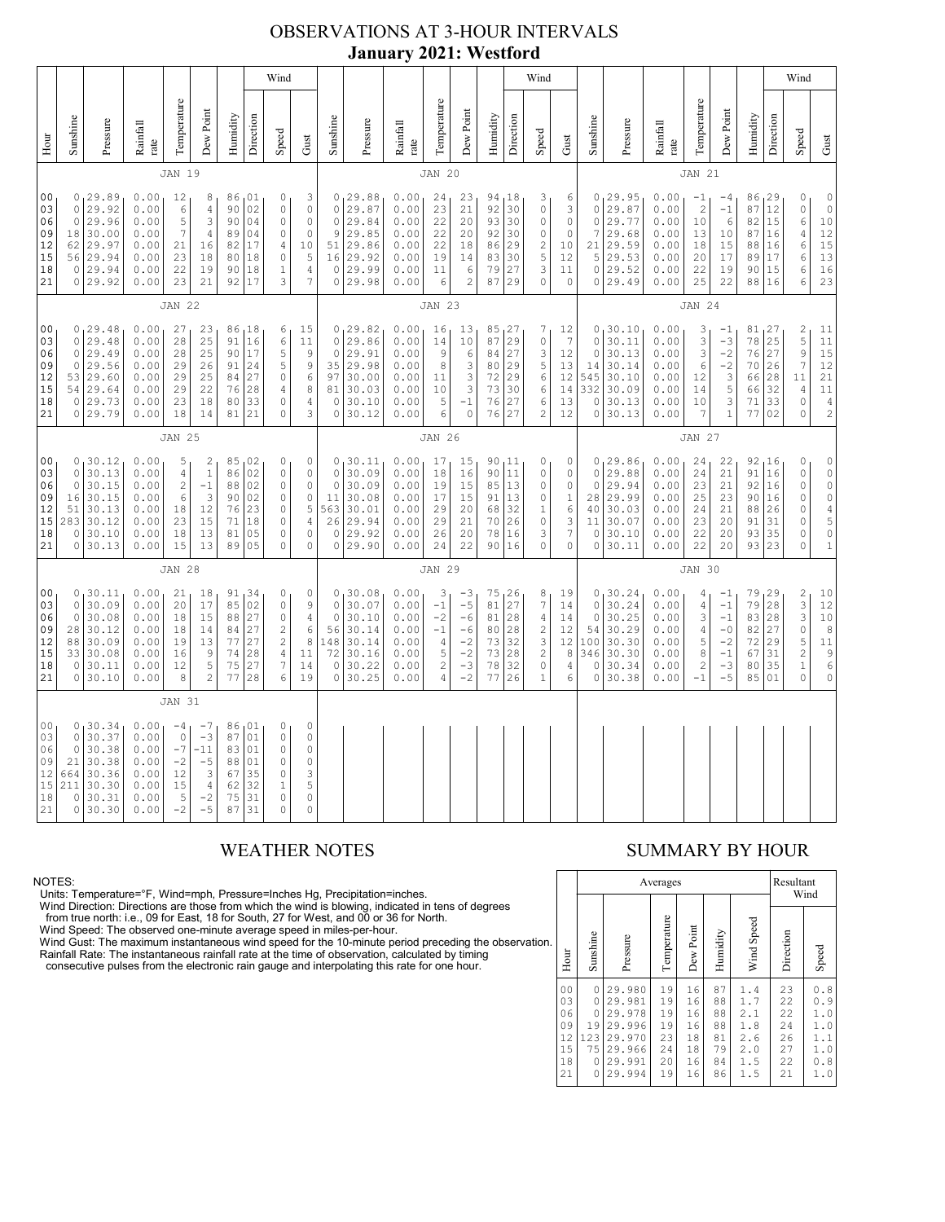## OBSERVATIONS AT 3-HOUR INTERVALS **January 2021: Westford**

|                                                          | Wind                                                                                                                                                                                                                                                                                                                                                                                                                                                                                                                                                                      |                                                                              |                                                              |                                                                             |                                                                              |                                              |                                                             |                                                                                                        |                                                                                     |                                                                                   |                                                                         |                                                              |                                                                                      |                                                                           |                                                               |                                                          | Wind                                                                                                |                                                                             |                                                              |                                                                         |                                                              |                                                  |                                                                                        |                                                                                    |                                               | Wind                                                                                                           |                                                                                                                                 |
|----------------------------------------------------------|---------------------------------------------------------------------------------------------------------------------------------------------------------------------------------------------------------------------------------------------------------------------------------------------------------------------------------------------------------------------------------------------------------------------------------------------------------------------------------------------------------------------------------------------------------------------------|------------------------------------------------------------------------------|--------------------------------------------------------------|-----------------------------------------------------------------------------|------------------------------------------------------------------------------|----------------------------------------------|-------------------------------------------------------------|--------------------------------------------------------------------------------------------------------|-------------------------------------------------------------------------------------|-----------------------------------------------------------------------------------|-------------------------------------------------------------------------|--------------------------------------------------------------|--------------------------------------------------------------------------------------|---------------------------------------------------------------------------|---------------------------------------------------------------|----------------------------------------------------------|-----------------------------------------------------------------------------------------------------|-----------------------------------------------------------------------------|--------------------------------------------------------------|-------------------------------------------------------------------------|--------------------------------------------------------------|--------------------------------------------------|----------------------------------------------------------------------------------------|------------------------------------------------------------------------------------|-----------------------------------------------|----------------------------------------------------------------------------------------------------------------|---------------------------------------------------------------------------------------------------------------------------------|
| Hour                                                     | Sunshine                                                                                                                                                                                                                                                                                                                                                                                                                                                                                                                                                                  | Pressure                                                                     | Rainfall<br>rate                                             | Temperature                                                                 | Dew Point                                                                    | Humidity                                     | Direction                                                   | Speed                                                                                                  | Gust                                                                                | Sunshine                                                                          | Pressure                                                                | Rainfall<br>rate                                             | Temperature                                                                          | Dew Point                                                                 | Humidity                                                      | Direction                                                | Speed                                                                                               | ${\rm Gust}$                                                                | Sunshine                                                     | Pressure                                                                | Rainfall<br>$_\mathrm{rate}$                                 | Temperature                                      | Dew Point                                                                              | Humidity                                                                           | Direction                                     | Speed                                                                                                          | Gust                                                                                                                            |
|                                                          |                                                                                                                                                                                                                                                                                                                                                                                                                                                                                                                                                                           |                                                                              |                                                              | <b>JAN 19</b>                                                               |                                                                              |                                              |                                                             |                                                                                                        |                                                                                     |                                                                                   |                                                                         |                                                              | <b>JAN 20</b>                                                                        |                                                                           |                                                               |                                                          |                                                                                                     |                                                                             |                                                              |                                                                         |                                                              | <b>JAN 21</b>                                    |                                                                                        |                                                                                    |                                               |                                                                                                                |                                                                                                                                 |
| 0 <sub>0</sub><br>03<br>06<br>09<br>12<br>15<br>18<br>21 | 0, 29.89<br>0.00<br>86,01<br>3<br>12<br>8<br>0<br>$\circ$<br>29.92<br>0.00<br>$\epsilon$<br>$\sqrt{4}$<br>90<br>02<br>$\mathbb O$<br>$\mathbb O$<br>29.96<br>0.00<br>5<br>3<br>$0\,4$<br>$\circ$<br>$\circ$<br>90<br>$\mathbb O$<br>30.00<br>0.00<br>$\overline{7}$<br>18<br>4<br>89<br>04<br>0<br>0<br>29.97<br>17<br>$\sqrt{4}$<br>10<br>62<br>0.00<br>21<br>16<br>82<br>18<br>$\mathbb O$<br>5<br>56 29.94<br>0.00<br>23<br>80<br>18<br>0 29.94<br>0.00<br>22<br>19<br>90<br>18<br>$\mathbf{1}$<br>4<br>3<br>$\overline{7}$<br>0 29.92<br>0.00<br>23<br>21<br>92<br>17 |                                                                              |                                                              |                                                                             |                                                                              |                                              | $\mathbb O$<br>$\mathbb O$<br>9<br>51<br>16<br>0<br>$\circ$ | 0, 29.88<br>29.87<br>29.84<br>29.85<br>29.86<br>29.92<br>29.99<br>29.98                                | 0.00<br>0.00<br>0.00<br>0.00<br>0.00<br>0.00<br>0.00<br>0.00                        | 24<br>23<br>22<br>22<br>22<br>19<br>11<br>6                                       | 23<br>21<br>20<br>20<br>18<br>14<br>6<br>$\overline{c}$                 | 94, 18<br>92<br>93<br>92<br>86<br>83<br>79<br>87             | 30<br>30<br>30<br>29<br>30<br>27<br>29                                               | 3<br>$\mathbb O$<br>$\mathbb O$<br>0<br>$\frac{2}{5}$<br>3<br>$\mathbb O$ | 6<br>3<br>$\mathbb O$<br>$\circ$<br>10<br>12<br>11<br>$\circ$ | $\circ$<br>$\circ$<br>7<br>21<br>5<br>$\circ$<br>$\circ$ | 0, 29.95<br>29.87<br>29.77<br>29.68<br>29.59<br>29.53<br>29.52<br>29.49                             | 0.00<br>0.00<br>0.00<br>0.00<br>0.00<br>0.00<br>0.00<br>0.00                | $-1$<br>$\overline{c}$<br>$10$<br>13<br>18<br>20<br>22<br>25 | $-4$<br>$-1$<br>$\epsilon$<br>10<br>15<br>17<br>19<br>22                | 86, 29<br>87<br>82<br>87<br>88<br>89<br>90<br>88             | 12<br>15<br>16<br>16<br>17<br>15<br>16           | 0<br>$\mathbb O$<br>$\epsilon$<br>$\overline{4}$<br>$\epsilon$<br>$\epsilon$<br>6<br>6 | $\mathbb O$<br>$\begin{matrix} 0 \\ 10 \end{matrix}$<br>12<br>15<br>13<br>16<br>23 |                                               |                                                                                                                |                                                                                                                                 |
|                                                          | <b>JAN 22</b>                                                                                                                                                                                                                                                                                                                                                                                                                                                                                                                                                             |                                                                              |                                                              |                                                                             |                                                                              |                                              | <b>JAN 23</b>                                               |                                                                                                        |                                                                                     |                                                                                   |                                                                         |                                                              |                                                                                      | JAN 24                                                                    |                                                               |                                                          |                                                                                                     |                                                                             |                                                              |                                                                         |                                                              |                                                  |                                                                                        |                                                                                    |                                               |                                                                                                                |                                                                                                                                 |
| 0 <sub>0</sub><br>03<br>06<br>09<br>12<br>15<br>18<br>21 | $\circ$<br>$\circ$<br>0<br>53<br>0                                                                                                                                                                                                                                                                                                                                                                                                                                                                                                                                        | 0, 29.48<br>29.48<br>29.49<br>29.56<br>29.60<br>54 29.64<br>29.73<br>0 29.79 | 0.00<br>0.00<br>0.00<br>0.00<br>0.00<br>0.00<br>0.00<br>0.00 | 27<br>28<br>28<br>29<br>29<br>29<br>23<br>18                                | 23<br>25<br>25<br>26<br>25<br>22<br>18<br>14                                 | 91<br>90<br>91<br>84<br>76<br>80<br>81       | 86,18<br>16<br>17<br>24<br>27<br>28<br>33<br>21             | 6<br>6<br>5<br>5<br>$\mathbb O$<br>$\sqrt{4}$<br>$\mathbb O$<br>$\Omega$                               | 15<br>11<br>$\mathsf 9$<br>9<br>$\epsilon$<br>$\,$ 8 $\,$<br>$\sqrt{4}$<br>3        | $\circ$<br>$\circ$<br>35<br>97<br>81<br>$\mathbb O$<br>$\circ$                    | 0, 29.82<br>29.86<br>29.91<br>29.98<br>30.00<br>30.03<br>30.10<br>30.12 | 0.00<br>0.00<br>0.00<br>0.00<br>0.00<br>0.00<br>0.00<br>0.00 | 16<br>14<br>9<br>8<br>11<br>10<br>5<br>$\epsilon$                                    | 13<br>10<br>$\epsilon$<br>3<br>$\frac{3}{3}$<br>$-1$<br>$\Omega$          | 85<br>87<br>84<br>80<br>72<br>73<br>76<br>76                  | 127<br>29<br>27<br>29<br>29<br>30<br>27<br>27            | 7<br>$\mathbb O$<br>3<br>$\mathbf 5$<br>6<br>6<br>6<br>2                                            | 12<br>$\overline{7}$<br>12<br>13<br>12<br>14<br>13<br>12                    | $\circ$<br>$\circ$<br>14<br>545<br>332<br>$\circ$<br>$\circ$ | 0, 30.10<br>30.11<br>30.13<br>30.14<br>30.10<br>30.09<br>30.13<br>30.13 | 0.00<br>0.00<br>0.00<br>0.00<br>0.00<br>0.00<br>0.00<br>0.00 | 3<br>3<br>3<br>6<br>12<br>14<br>10<br>7          | $-1$<br>$-3$<br>$-2$<br>$-2$<br>3<br>5<br>3<br>$\mathbf{1}$                            | 81<br>78<br>76<br>70<br>66<br>66<br>71<br>77                                       | 127<br>25<br>27<br>26<br>28<br>32<br>33<br>02 | $\overline{\mathbf{c}}$<br>$\overline{5}$<br>9<br>$\overline{7}$<br>11<br>$\overline{4}$<br>$\circ$<br>$\circ$ | 11<br>$\overline{11}$<br>15<br>12<br>21<br>$1\,1$<br>$\begin{array}{c} 4 \\ 2 \end{array}$                                      |
|                                                          | <b>JAN 25</b>                                                                                                                                                                                                                                                                                                                                                                                                                                                                                                                                                             |                                                                              |                                                              |                                                                             |                                                                              |                                              |                                                             | <b>JAN 26</b>                                                                                          |                                                                                     |                                                                                   |                                                                         |                                                              |                                                                                      |                                                                           |                                                               |                                                          |                                                                                                     | <b>JAN 27</b>                                                               |                                                              |                                                                         |                                                              |                                                  |                                                                                        |                                                                                    |                                               |                                                                                                                |                                                                                                                                 |
| 00<br>03<br>06<br>09<br>12<br>15<br>18<br>21             | $\circ$<br>$\circ$<br>16<br>51<br>283<br>0<br>0                                                                                                                                                                                                                                                                                                                                                                                                                                                                                                                           | 0, 30.12<br>30.13<br>30.15<br>30.15<br>30.13<br>30.12<br>30.10<br> 30.13     | 0.00<br>0.00<br>0.00<br>0.00<br>0.00<br>0.00<br>0.00<br>0.00 | 5<br>$\overline{4}$<br>$\overline{c}$<br>$\epsilon$<br>18<br>23<br>18<br>15 | $\overline{\mathbf{c}}$<br>$\mathbf{1}$<br>$-1$<br>3<br>12<br>15<br>13<br>13 | 85<br>86<br>88<br>90<br>76<br>71<br>81<br>89 | 02<br>02<br>02<br>02<br>23<br>18<br>05<br>05                | 0<br>$\circ$<br>$\mathbb O$<br>$\mathbb O$<br>$\mathbb O$<br>$\mathbb O$<br>$\circ$<br>$\circ$         | 0<br>$\mathbb O$<br>$\mathbb O$<br>$\circ$<br>5<br>$\sqrt{4}$<br>$\circ$<br>$\circ$ | $\circ$<br>$\circ$<br>11<br>563<br>26<br>$\circ$<br>0                             | 0, 30.11<br>30.09<br>30.09<br>30.08<br>30.01<br>29.94<br>29.92<br>29.90 | 0.00<br>0.00<br>0.00<br>0.00<br>0.00<br>0.00<br>0.00<br>0.00 | 17<br>18<br>19<br>17<br>29<br>29<br>26<br>24                                         | 15<br>16<br>15<br>15<br>20<br>21<br>20<br>22                              | 90, 11<br>90<br>85<br>91<br>68<br>70<br>78<br>90              | 11<br> 13<br> 13<br>32<br>26<br>16<br>16                 | 0<br>$\mathbb O$<br>$\mathbb O$<br>$\mathbb O$<br>$\,1$<br>$\mathbb O$<br>3<br>0                    | 0<br>0<br>$\mathbb O$<br>$\,1$<br>6<br>3<br>$\boldsymbol{7}$<br>$\mathbb O$ | $\circ$<br>$\circ$<br>28<br>40<br>11<br>$\circ$<br>$\circ$   | 0, 29.86<br>29.88<br>29.94<br>29.99<br>30.03<br>30.07<br>30.10<br>30.11 | 0.00<br>0.00<br>0.00<br>0.00<br>0.00<br>0.00<br>0.00<br>0.00 | 24<br>24<br>23<br>25<br>24<br>23<br>22<br>22     | 22<br>21<br>21<br>23<br>21<br>20<br>20<br>20                                           | 92<br>91<br>92<br>90<br>88<br>91<br>93<br>93 23                                    | 16<br>16<br>16<br>16<br>26<br>31<br>35        | 0<br>$\mathbb O$<br>$\circ$<br>$\circ$<br>$\circ$<br>$\circ$<br>$\mathbb O$<br>$\circ$                         | $\mathsf{O}\xspace$<br>$\begin{matrix} 0 \\ 0 \end{matrix}$<br>$\circ$<br>$\begin{array}{c} 4 \\ 5 \\ 0 \end{array}$<br>$\,1\,$ |
|                                                          |                                                                                                                                                                                                                                                                                                                                                                                                                                                                                                                                                                           |                                                                              |                                                              | <b>JAN 28</b>                                                               |                                                                              |                                              |                                                             |                                                                                                        |                                                                                     |                                                                                   |                                                                         |                                                              | <b>JAN 29</b>                                                                        |                                                                           |                                                               |                                                          |                                                                                                     |                                                                             |                                                              |                                                                         |                                                              | JAN 30                                           |                                                                                        |                                                                                    |                                               |                                                                                                                |                                                                                                                                 |
| 00<br>03<br>06<br>09<br>12<br>15<br>18<br>21             | $\circ$<br>$\circ$<br>28 <br>88<br>33<br>0                                                                                                                                                                                                                                                                                                                                                                                                                                                                                                                                | 0, 30.11<br>30.09<br>30.08<br>30.12<br>30.09<br>30.08<br>30.11<br>0 30.10    | 0.00<br>0.00<br>0.00<br>0.00<br>0.00<br>0.00<br>0.00<br>0.00 | 21<br>20<br>18<br>18<br>19<br>16<br>12<br>8                                 | 18<br>17<br>15<br>14<br>13<br>9<br>5<br>$\overline{c}$                       | 91<br>85<br>88<br>84<br>77<br>74<br>75<br>77 | 134<br>02<br>27<br>27<br>27<br>28<br>27<br>28               | 0<br>$\circ$<br>$\mathbb O$<br>$\overline{c}$<br>$\sqrt{2}$<br>$\overline{4}$<br>$\boldsymbol{7}$<br>6 | 0<br>9<br>4<br>6<br>$\,8\,$<br>11<br>14<br>19                                       | 0 <sub>1</sub><br>$\circ$<br>$\mathbf 0$<br>56<br>148<br>72<br>$\circ$<br>$\circ$ | 30.08<br>30.07<br>30.10<br>30.14<br>30.14<br>30.16<br>30.22<br>30.25    | 0.00<br>0.00<br>0.00<br>0.00<br>0.00<br>0.00<br>0.00<br>0.00 | 3<br>$-1$<br>$-2$<br>$-1$<br>$\overline{4}$<br>5<br>$\overline{c}$<br>$\overline{4}$ | $-3$<br>$-5$<br>$-6$<br>$-6$<br>$-2$<br>$-2$<br>$-3$<br>$-2$              | 75<br>81<br>81<br>80<br>73<br>73<br>78<br>77                  | 126<br>27<br>28<br>28<br>32<br>28<br>32<br>26            | 8<br>$\boldsymbol{7}$<br>$\sqrt{4}$<br>$\sqrt{2}$<br>3<br>$\sqrt{2}$<br>$\mathbb O$<br>$\mathbf{1}$ | 19<br>14<br>14<br>12<br>12<br>8<br>$\sqrt{4}$<br>$\epsilon$                 | $\circ$<br>$\circ$<br>54<br>100<br>346<br>$\circ$<br>0       | 0, 30.24<br>30.24<br>30.25<br>30.29<br>30.30<br>30.30<br>30.34<br>30.38 | 0.00<br>0.00<br>0.00<br>0.00<br>0.00<br>0.00<br>0.00<br>0.00 | 4<br>4<br>3<br>4<br>5<br>8<br>$\sqrt{2}$<br>$-1$ | $-1$<br>$-1$<br>$-1$<br>$-0$<br>$-2$<br>$-1$<br>$-3$<br>$-5$                           | 79<br>79<br>83<br>82<br>72<br>67<br>80<br>85                                       | 29<br>28<br>28<br>27<br>29<br>31<br>35<br>01  | $\frac{2}{3}$<br>3<br>$\circ$<br>5<br>$\overline{\mathbf{c}}$<br>$\mathbf 1$<br>$\circ$                        | 10<br>12<br>$\begin{smallmatrix}1&0\\8\end{smallmatrix}$<br>$1\,1$<br>$\begin{array}{c} 9 \\ 6 \end{array}$<br>$\circ$          |
|                                                          |                                                                                                                                                                                                                                                                                                                                                                                                                                                                                                                                                                           |                                                                              |                                                              | <b>JAN 31</b>                                                               |                                                                              |                                              |                                                             |                                                                                                        |                                                                                     |                                                                                   |                                                                         |                                                              |                                                                                      |                                                                           |                                                               |                                                          |                                                                                                     |                                                                             |                                                              |                                                                         |                                                              |                                                  |                                                                                        |                                                                                    |                                               |                                                                                                                |                                                                                                                                 |
| 00<br>03<br>06<br>09<br>12<br>15<br>18<br>21             | $\circ$<br>$\circ$<br>21<br>664<br>211<br>$\circ$<br>$\circ$                                                                                                                                                                                                                                                                                                                                                                                                                                                                                                              | 0, 30.34<br>30.37<br>30.38<br>30.38<br>30.36<br>30.30<br>30.31<br>30.30      | 0.00<br>0.00<br>0.00<br>0.00<br>0.00<br>0.00<br>0.00<br>0.00 | $-4$<br>$\mathbb O$<br>$-7$<br>$-2$<br>12<br>15<br>5<br>$-2$                | $-7$<br>$-3$<br>$-11$<br>$-5$<br>3<br>$\sqrt{4}$<br>$-2$<br>$-5$             | 86<br>87<br>83<br>88<br>67<br>62<br>75<br>87 | 01<br>01<br>01<br>01<br>35<br>32<br>31<br>31                | 0<br>$\circ$<br>$\mathbb O$<br>$\mathbb O$<br>$\circ$<br>$\mathbf 1$<br>$\circ$<br>$\Omega$            | $\circ$<br>$\mathbb O$<br>$\circ$<br>$\circ$<br>3<br>5<br>$\circ$<br>$\circ$        |                                                                                   |                                                                         |                                                              |                                                                                      |                                                                           |                                                               |                                                          |                                                                                                     |                                                                             |                                                              |                                                                         |                                                              |                                                  |                                                                                        |                                                                                    |                                               |                                                                                                                |                                                                                                                                 |

NOTES:<br>Units: Temperature=°F, Wind=mph, Pressure=Inches Hg, Precipitation=inches.<br>Units: Temperature=°F, Wind=mph, Pressure=Inches Hg, Precipitation=inches.<br>
Yind Direction: Directions are those from which the wind is blow

## WEATHER NOTES SUMMARY BY HOUR

|    |                                                          |                                          | Averages                                                                     | Resultant<br>Wind                            |                                              |                                              |                                                      |                                              |                                                      |
|----|----------------------------------------------------------|------------------------------------------|------------------------------------------------------------------------------|----------------------------------------------|----------------------------------------------|----------------------------------------------|------------------------------------------------------|----------------------------------------------|------------------------------------------------------|
| ì. | Hour                                                     | Sunshine                                 | Pressure                                                                     | Temperature                                  | Dew Point                                    | Humidity                                     | Wind Speed                                           | Direction                                    | Speed                                                |
|    | 0 <sub>0</sub><br>03<br>06<br>09<br>12<br>15<br>18<br>21 | 0<br>0<br>0<br>19<br>123<br>75<br>0<br>0 | 29.980<br>29.981<br>29.978<br>29.996<br>29.970<br>29.966<br>29.991<br>29.994 | 19<br>19<br>19<br>19<br>23<br>24<br>20<br>19 | 16<br>16<br>16<br>16<br>18<br>18<br>16<br>16 | 87<br>88<br>88<br>88<br>81<br>79<br>84<br>86 | 1.4<br>1.7<br>2.1<br>1.8<br>2.6<br>2.0<br>1.5<br>1.5 | 23<br>22<br>22<br>24<br>26<br>27<br>22<br>21 | 0.8<br>0.9<br>1.0<br>1.0<br>1.1<br>1.0<br>0.8<br>1.0 |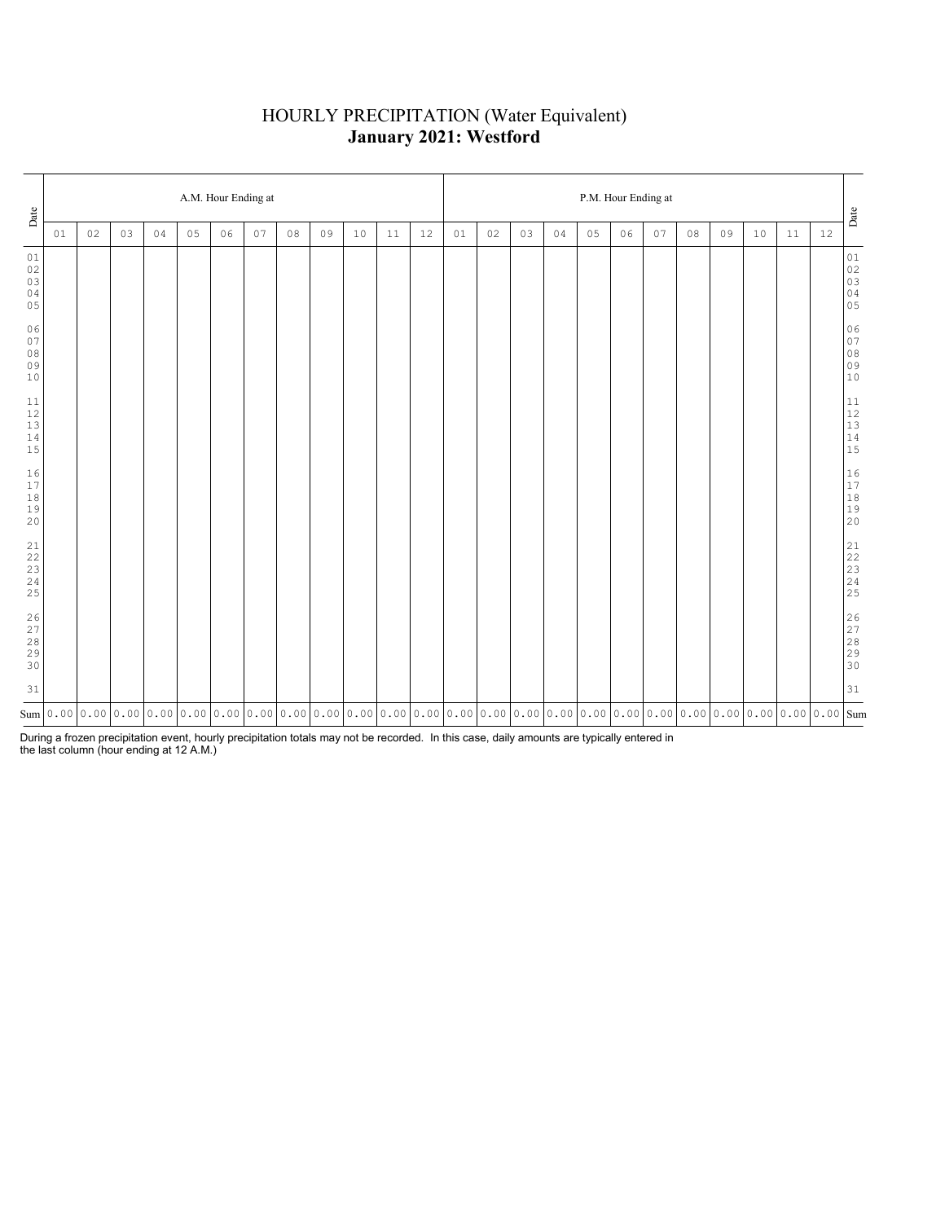# HOURLY PRECIPITATION (Water Equivalent) **January 2021: Westford**

| Date                                    |                                                                                                                                                                                                                                     | A.M. Hour Ending at |    |    |    |    |    |    |    |    |    |    |    |    |    | P.M. Hour Ending at |    |    |    |    |    |    |    |        |                                                           |  |  |  |
|-----------------------------------------|-------------------------------------------------------------------------------------------------------------------------------------------------------------------------------------------------------------------------------------|---------------------|----|----|----|----|----|----|----|----|----|----|----|----|----|---------------------|----|----|----|----|----|----|----|--------|-----------------------------------------------------------|--|--|--|
|                                         | 01                                                                                                                                                                                                                                  | 02                  | 03 | 04 | 05 | 06 | 07 | 08 | 09 | 10 | 11 | 12 | 01 | 02 | 03 | 04                  | 05 | 06 | 07 | 08 | 09 | 10 | 11 | $12\,$ | $_{\rm {Date}}$                                           |  |  |  |
| 01<br>$0\,2$<br>03<br>04<br>05          |                                                                                                                                                                                                                                     |                     |    |    |    |    |    |    |    |    |    |    |    |    |    |                     |    |    |    |    |    |    |    |        | $0\,1$<br>$02$<br>$03$<br>$04$<br>$05$                    |  |  |  |
| 06<br>07<br>$0\,8$<br>09<br>$10$        |                                                                                                                                                                                                                                     |                     |    |    |    |    |    |    |    |    |    |    |    |    |    |                     |    |    |    |    |    |    |    |        | 06<br>07<br>08<br>09<br>09<br>10                          |  |  |  |
| 11<br>$12$<br>$13$<br>$1\,4$<br>15      |                                                                                                                                                                                                                                     |                     |    |    |    |    |    |    |    |    |    |    |    |    |    |                     |    |    |    |    |    |    |    |        | $\begin{array}{c} 11 \\ 12 \\ 13 \\ 14 \\ 15 \end{array}$ |  |  |  |
| 16<br>17<br>$1\,8$<br>19<br>20          |                                                                                                                                                                                                                                     |                     |    |    |    |    |    |    |    |    |    |    |    |    |    |                     |    |    |    |    |    |    |    |        | $\begin{array}{c} 16 \\ 17 \\ 18 \\ 19 \\ 20 \end{array}$ |  |  |  |
| 21<br>22<br>$\frac{23}{24}$<br>25       |                                                                                                                                                                                                                                     |                     |    |    |    |    |    |    |    |    |    |    |    |    |    |                     |    |    |    |    |    |    |    |        |                                                           |  |  |  |
| $\frac{26}{27}$<br>$2\,8$<br>29<br>$30$ |                                                                                                                                                                                                                                     |                     |    |    |    |    |    |    |    |    |    |    |    |    |    |                     |    |    |    |    |    |    |    |        | 26<br>27<br>28<br>29<br>29<br>30                          |  |  |  |
| 31                                      |                                                                                                                                                                                                                                     |                     |    |    |    |    |    |    |    |    |    |    |    |    |    |                     |    |    |    |    |    |    |    |        | 31                                                        |  |  |  |
|                                         | $_{\rm sum}$   0 . 00   0 . 00   0 . 00   0 . 00   0 . 00   0 . 00   0 . 00   0 . 00   0 . 00   0 . 00   0 . 00   0 . 00   0 . 00   0 . 00   0 . 00   0 . 00   0 . 00   0 . 00   0 . 00   0 . 00   0 . 00   0 . 00   0 . 00   0 . 0 |                     |    |    |    |    |    |    |    |    |    |    |    |    |    |                     |    |    |    |    |    |    |    |        |                                                           |  |  |  |

During a frozen precipitation event, hourly precipitation totals may not be recorded. In this case, daily amounts are typically entered in the last column (hour ending at 12 A.M.)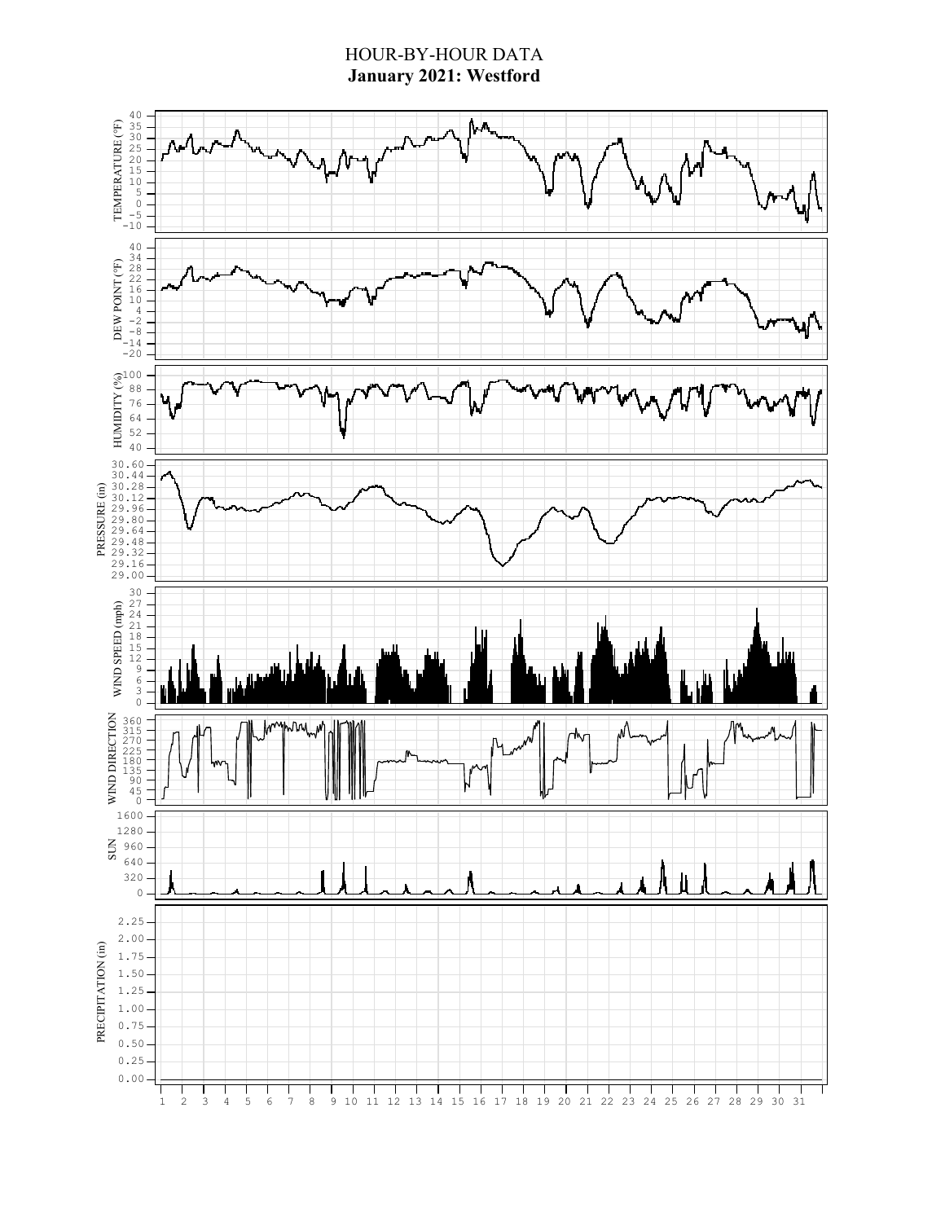### HOUR-BY-HOUR DATA **January 2021: Westford**